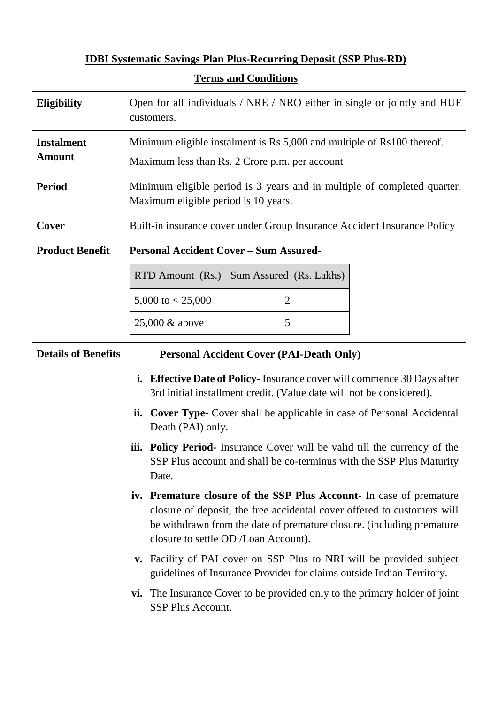## **IDBI Systematic Savings Plan Plus-Recurring Deposit (SSP Plus-RD)**

| <b>Eligibility</b>         | Open for all individuals / NRE / NRO either in single or jointly and HUF<br>customers.                                                                                                                                                                          |
|----------------------------|-----------------------------------------------------------------------------------------------------------------------------------------------------------------------------------------------------------------------------------------------------------------|
| <b>Instalment</b>          | Minimum eligible instalment is Rs 5,000 and multiple of Rs100 thereof.                                                                                                                                                                                          |
| <b>Amount</b>              | Maximum less than Rs. 2 Crore p.m. per account                                                                                                                                                                                                                  |
| <b>Period</b>              | Minimum eligible period is 3 years and in multiple of completed quarter.<br>Maximum eligible period is 10 years.                                                                                                                                                |
| Cover                      | Built-in insurance cover under Group Insurance Accident Insurance Policy                                                                                                                                                                                        |
| <b>Product Benefit</b>     | <b>Personal Accident Cover – Sum Assured-</b>                                                                                                                                                                                                                   |
|                            | RTD Amount (Rs.)<br>Sum Assured (Rs. Lakhs)                                                                                                                                                                                                                     |
|                            | 5,000 to $< 25,000$<br>$\overline{2}$                                                                                                                                                                                                                           |
|                            | 5<br>25,000 & above                                                                                                                                                                                                                                             |
| <b>Details of Benefits</b> | <b>Personal Accident Cover (PAI-Death Only)</b>                                                                                                                                                                                                                 |
|                            | <b>Effective Date of Policy-</b> Insurance cover will commence 30 Days after<br>i.<br>3rd initial installment credit. (Value date will not be considered).                                                                                                      |
|                            | <b>Cover Type-</b> Cover shall be applicable in case of Personal Accidental<br>ii.<br>Death (PAI) only.                                                                                                                                                         |
|                            | Policy Period- Insurance Cover will be valid till the currency of the<br>iii.<br>SSP Plus account and shall be co-terminus with the SSP Plus Maturity<br>Date.                                                                                                  |
|                            | iv. Premature closure of the SSP Plus Account- In case of premature<br>closure of deposit, the free accidental cover offered to customers will<br>be withdrawn from the date of premature closure. (including premature<br>closure to settle OD /Loan Account). |
|                            | v. Facility of PAI cover on SSP Plus to NRI will be provided subject<br>guidelines of Insurance Provider for claims outside Indian Territory.                                                                                                                   |
|                            | vi. The Insurance Cover to be provided only to the primary holder of joint<br>SSP Plus Account.                                                                                                                                                                 |

## **Terms and Conditions**